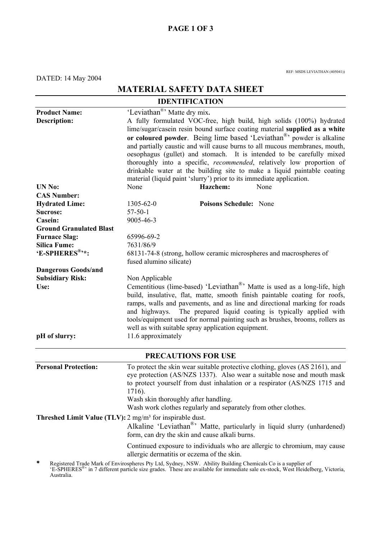## **PAGE 1 OF 3**

DATED: 14 May 2004

REF: MSDS LEVIATHAN (405041))

# **MATERIAL SAFETY DATA SHEET**

| <b>IDENTIFICATION</b>                                                |                                                                                                                         |  |  |
|----------------------------------------------------------------------|-------------------------------------------------------------------------------------------------------------------------|--|--|
| <b>Product Name:</b>                                                 | 'Leviathan <sup>®</sup> ' Matte dry mix.                                                                                |  |  |
| <b>Description:</b>                                                  | A fully formulated VOC-free, high build, high solids (100%) hydrated                                                    |  |  |
|                                                                      | lime/sugar/casein resin bound surface coating material supplied as a white                                              |  |  |
|                                                                      | or coloured powder. Being lime based 'Leviathan <sup>®</sup> ' powder is alkaline                                       |  |  |
|                                                                      | and partially caustic and will cause burns to all mucous membranes, mouth,                                              |  |  |
|                                                                      | oesophagus (gullet) and stomach. It is intended to be carefully mixed                                                   |  |  |
|                                                                      | thoroughly into a specific, <i>recommended</i> , relatively low proportion of                                           |  |  |
|                                                                      | drinkable water at the building site to make a liquid paintable coating                                                 |  |  |
|                                                                      | material (liquid paint 'slurry') prior to its immediate application.                                                    |  |  |
| <b>UN No:</b>                                                        | None<br>Hazchem:<br>None                                                                                                |  |  |
| <b>CAS Number:</b>                                                   |                                                                                                                         |  |  |
| <b>Hydrated Lime:</b>                                                | Poisons Schedule: None<br>$1305 - 62 - 0$                                                                               |  |  |
| Sucrose:                                                             | $57-50-1$                                                                                                               |  |  |
| <b>Casein:</b>                                                       | 9005-46-3                                                                                                               |  |  |
| <b>Ground Granulated Blast</b>                                       |                                                                                                                         |  |  |
| <b>Furnace Slag:</b>                                                 | 65996-69-2                                                                                                              |  |  |
| <b>Silica Fume:</b>                                                  | 7631/86/9                                                                                                               |  |  |
| 'E-SPHERES <sup>®</sup> '*:                                          | 68131-74-8 (strong, hollow ceramic microspheres and macrospheres of                                                     |  |  |
|                                                                      | fused alumino silicate)                                                                                                 |  |  |
| <b>Dangerous Goods/and</b>                                           |                                                                                                                         |  |  |
| <b>Subsidiary Risk:</b>                                              | Non Applicable                                                                                                          |  |  |
| Use:                                                                 | Cementitious (lime-based) 'Leviathan <sup>®</sup> ' Matte is used as a long-life, high                                  |  |  |
|                                                                      | build, insulative, flat, matte, smooth finish paintable coating for roofs,                                              |  |  |
|                                                                      | ramps, walls and pavements, and as line and directional marking for roads                                               |  |  |
|                                                                      | and highways. The prepared liquid coating is typically applied with                                                     |  |  |
|                                                                      | tools/equipment used for normal painting such as brushes, brooms, rollers as                                            |  |  |
|                                                                      | well as with suitable spray application equipment.                                                                      |  |  |
| pH of slurry:                                                        | 11.6 approximately                                                                                                      |  |  |
|                                                                      | <b>PRECAUTIONS FOR USE</b>                                                                                              |  |  |
| <b>Personal Protection:</b>                                          | To protect the skin wear suitable protective clothing, gloves (AS 2161), and                                            |  |  |
|                                                                      | eye protection (AS/NZS 1337). Also wear a suitable nose and mouth mask                                                  |  |  |
|                                                                      | to protect yourself from dust inhalation or a respirator (AS/NZS 1715 and                                               |  |  |
|                                                                      | 1716).                                                                                                                  |  |  |
|                                                                      | Wash skin thoroughly after handling.                                                                                    |  |  |
|                                                                      | Wash work clothes regularly and separately from other clothes.                                                          |  |  |
| Threshed Limit Value (TLV): 2 mg/m <sup>3</sup> for inspirable dust. |                                                                                                                         |  |  |
|                                                                      | Alkaline 'Leviathan <sup>®</sup> ' Matte, particularly in liquid slurry (unhardened)                                    |  |  |
|                                                                      | form, can dry the skin and cause alkali burns.                                                                          |  |  |
|                                                                      | Continued exposure to individuals who are allergic to chromium, may cause<br>allergic dermatitis or eczema of the skin. |  |  |
| *                                                                    | Registered Trade Mark of Envirospheres Pty Ltd, Sydney, NSW. Ability Building Chemicals Co is a supplier of             |  |  |

'E-SPHERES®' in 7 different particle size grades. These are available for immediate sale ex-stock, West Heidelberg, Victoria, Australia.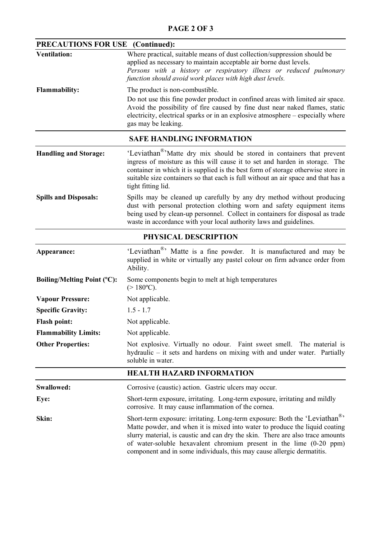### **PAGE 2 OF 3**

| PRECAUTIONS FOR USE<br>(Continued): |                                                                                                                                                                                                                                                                                                                                                                                                           |  |
|-------------------------------------|-----------------------------------------------------------------------------------------------------------------------------------------------------------------------------------------------------------------------------------------------------------------------------------------------------------------------------------------------------------------------------------------------------------|--|
| <b>Ventilation:</b>                 | Where practical, suitable means of dust collection/suppression should be<br>applied as necessary to maintain acceptable air borne dust levels.<br>Persons with a history or respiratory illness or reduced pulmonary<br>function should avoid work places with high dust levels.                                                                                                                          |  |
| <b>Flammability:</b>                | The product is non-combustible.                                                                                                                                                                                                                                                                                                                                                                           |  |
|                                     | Do not use this fine powder product in confined areas with limited air space.<br>Avoid the possibility of fire caused by fine dust near naked flames, static<br>electricity, electrical sparks or in an explosive atmosphere – especially where<br>gas may be leaking.                                                                                                                                    |  |
| <b>SAFE HANDLING INFORMATION</b>    |                                                                                                                                                                                                                                                                                                                                                                                                           |  |
| <b>Handling and Storage:</b>        | 'Leviathan <sup>®</sup> 'Matte dry mix should be stored in containers that prevent<br>ingress of moisture as this will cause it to set and harden in storage. The<br>container in which it is supplied is the best form of storage otherwise store in<br>suitable size containers so that each is full without an air space and that has a<br>tight fitting lid.                                          |  |
| <b>Spills and Disposals:</b>        | Spills may be cleaned up carefully by any dry method without producing<br>dust with personal protection clothing worn and safety equipment items<br>being used by clean-up personnel. Collect in containers for disposal as trade<br>waste in accordance with your local authority laws and guidelines.                                                                                                   |  |
|                                     | PHYSICAL DESCRIPTION                                                                                                                                                                                                                                                                                                                                                                                      |  |
| Appearance:                         | 'Leviathan <sup>®</sup> ' Matte is a fine powder. It is manufactured and may be<br>supplied in white or virtually any pastel colour on firm advance order from<br>Ability.                                                                                                                                                                                                                                |  |
| <b>Boiling/Melting Point (°C):</b>  | Some components begin to melt at high temperatures<br>$(>180^{\circ}C)$ .                                                                                                                                                                                                                                                                                                                                 |  |
| <b>Vapour Pressure:</b>             | Not applicable.                                                                                                                                                                                                                                                                                                                                                                                           |  |
| <b>Specific Gravity:</b>            | $1.5 - 1.7$                                                                                                                                                                                                                                                                                                                                                                                               |  |
| <b>Flash point:</b>                 | Not applicable.                                                                                                                                                                                                                                                                                                                                                                                           |  |
| <b>Flammability Limits:</b>         | Not applicable.                                                                                                                                                                                                                                                                                                                                                                                           |  |
| <b>Other Properties:</b>            | Not explosive. Virtually no odour. Faint sweet smell. The material is<br>hydraulic – it sets and hardens on mixing with and under water. Partially<br>soluble in water.                                                                                                                                                                                                                                   |  |
|                                     | <b>HEALTH HAZARD INFORMATION</b>                                                                                                                                                                                                                                                                                                                                                                          |  |
| Swallowed:                          | Corrosive (caustic) action. Gastric ulcers may occur.                                                                                                                                                                                                                                                                                                                                                     |  |
| Eye:                                | Short-term exposure, irritating. Long-term exposure, irritating and mildly<br>corrosive. It may cause inflammation of the cornea.                                                                                                                                                                                                                                                                         |  |
| Skin:                               | Short-term exposure: irritating. Long-term exposure: Both the 'Leviathan <sup>®</sup> '<br>Matte powder, and when it is mixed into water to produce the liquid coating<br>slurry material, is caustic and can dry the skin. There are also trace amounts<br>of water-soluble hexavalent chromium present in the lime (0-20 ppm)<br>component and in some individuals, this may cause allergic dermatitis. |  |